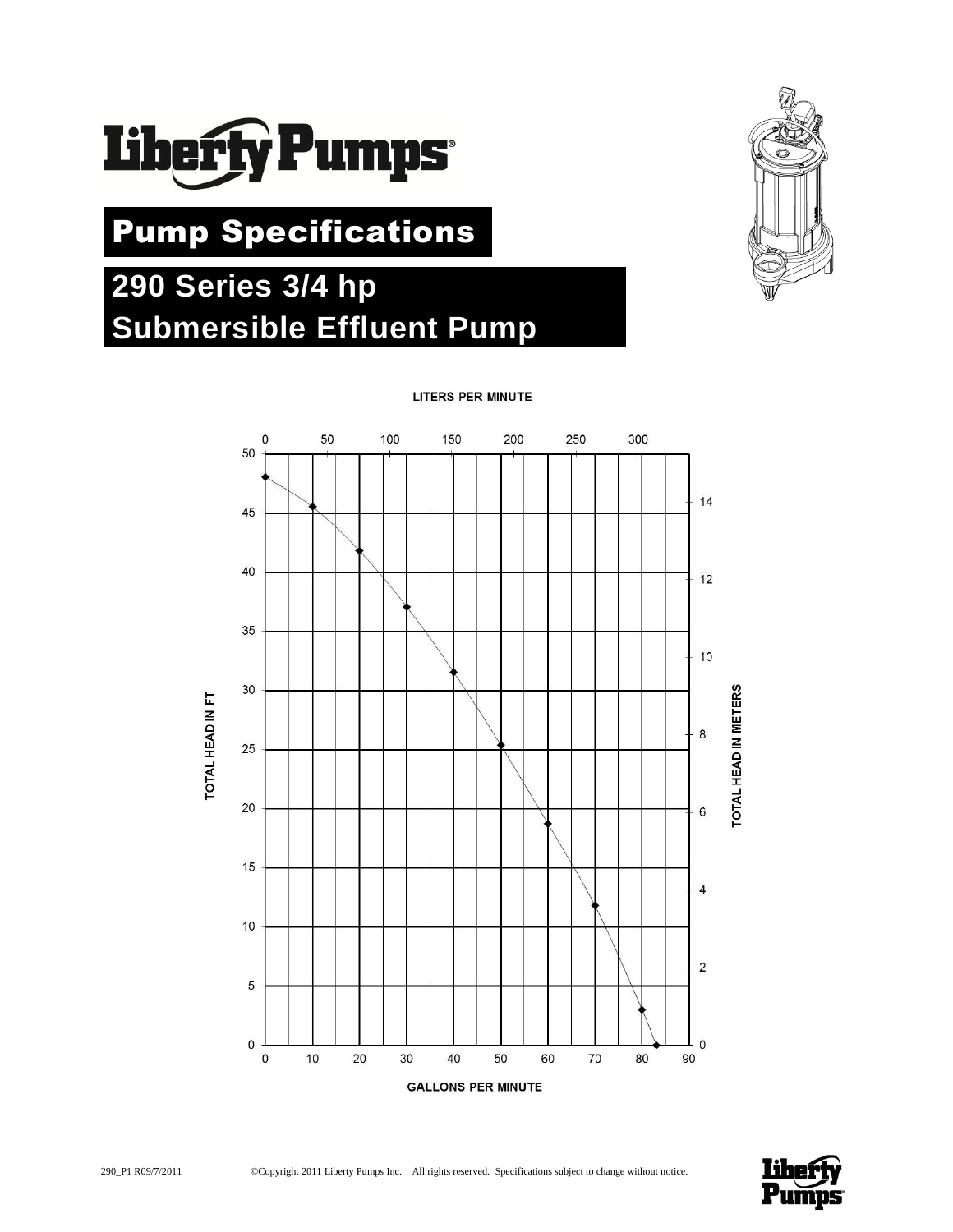

# Pump Specifications

# **290 Series 3/4 hp Submersible Effluent Pump**



**LITERS PER MINUTE** 



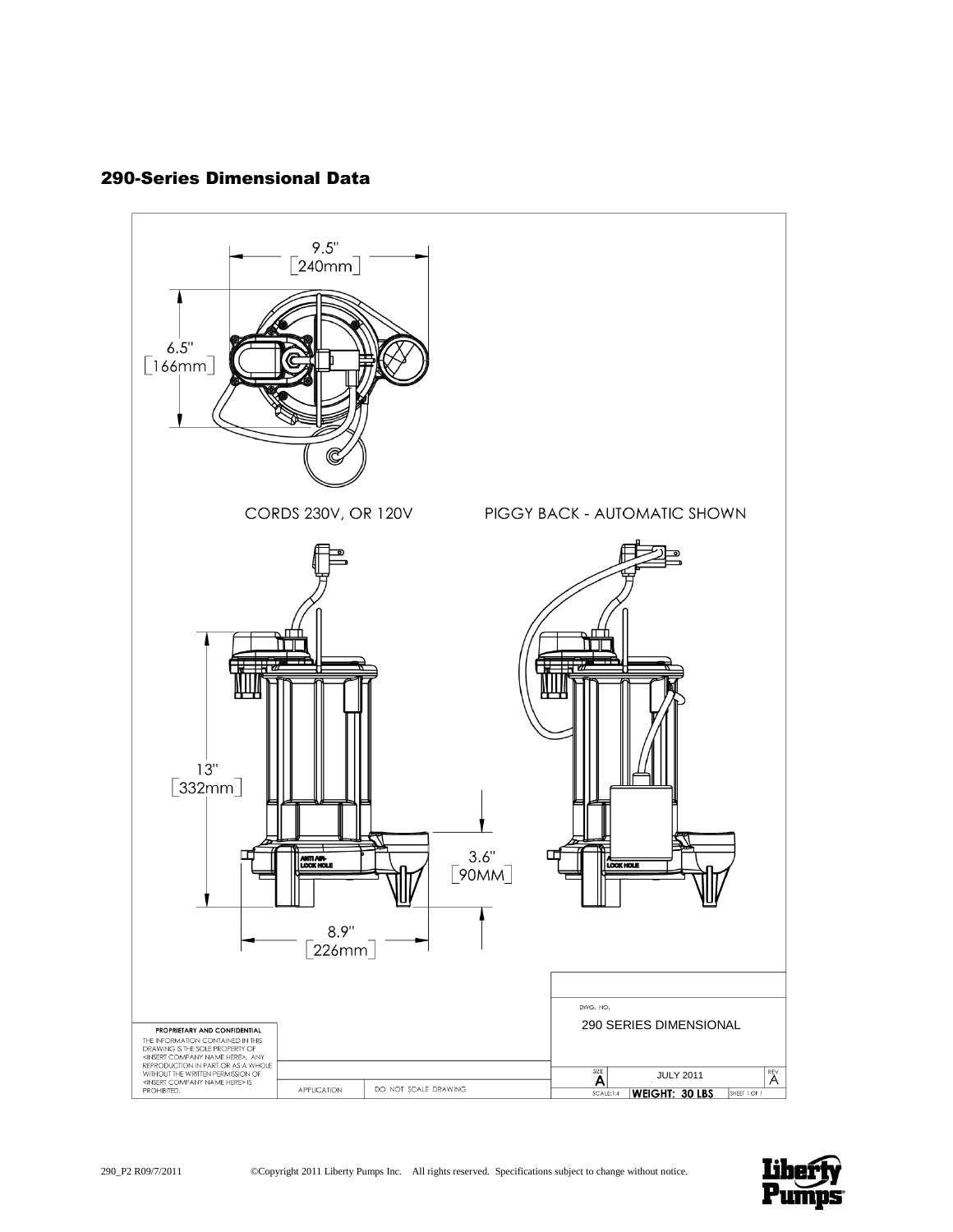# 290-Series Dimensional Data

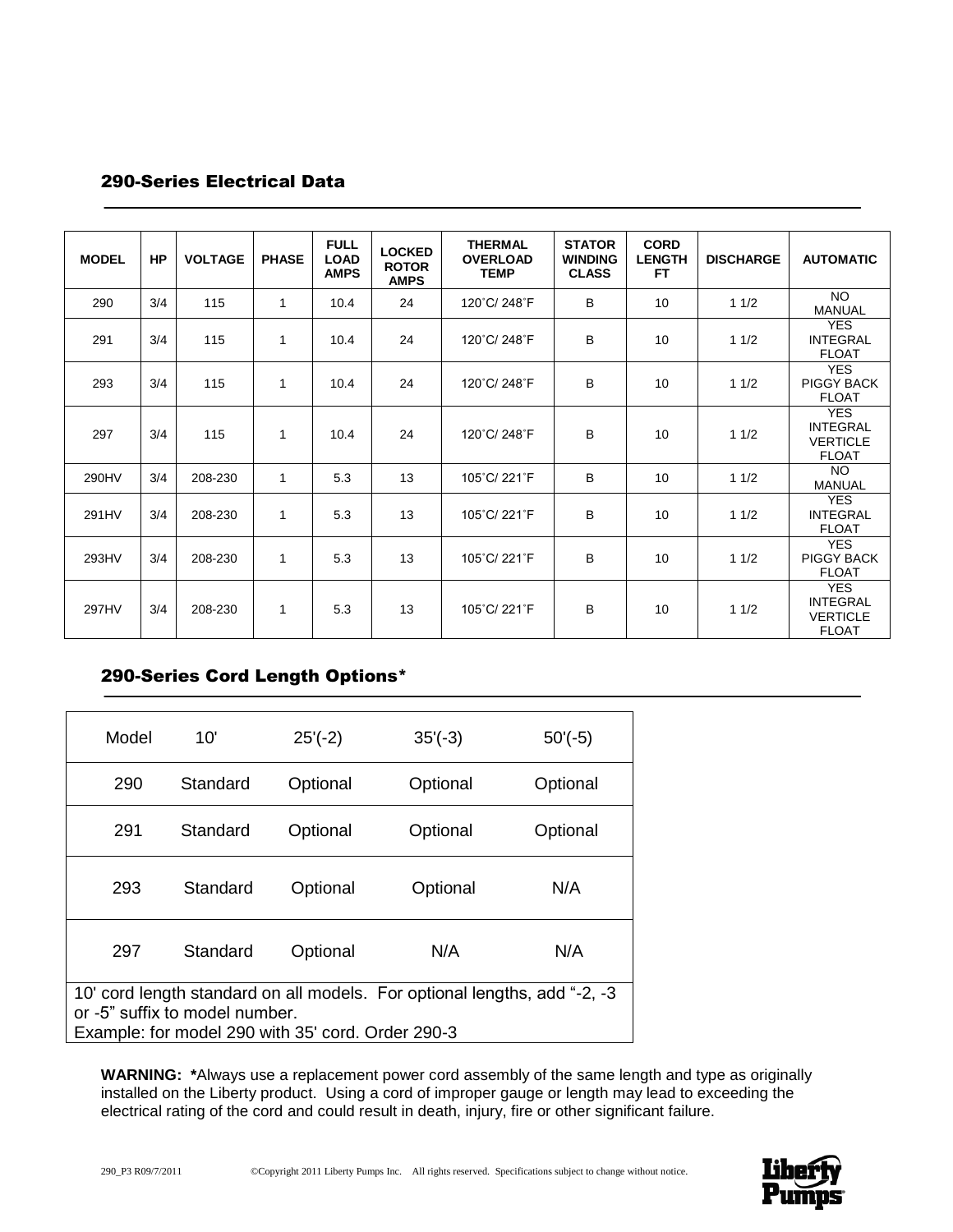# 290-Series Electrical Data

| <b>MODEL</b> | <b>HP</b> | <b>VOLTAGE</b> | <b>PHASE</b> | <b>FULL</b><br><b>LOAD</b><br><b>AMPS</b> | <b>LOCKED</b><br><b>ROTOR</b><br><b>AMPS</b> | <b>THERMAL</b><br><b>OVERLOAD</b><br><b>TEMP</b> | <b>STATOR</b><br><b>WINDING</b><br><b>CLASS</b> | <b>CORD</b><br><b>LENGTH</b><br><b>FT</b> | <b>DISCHARGE</b> | <b>AUTOMATIC</b>                                                 |
|--------------|-----------|----------------|--------------|-------------------------------------------|----------------------------------------------|--------------------------------------------------|-------------------------------------------------|-------------------------------------------|------------------|------------------------------------------------------------------|
| 290          | 3/4       | 115            | 1            | 10.4                                      | 24                                           | 120°C/248°F                                      | B                                               | 10                                        | 11/2             | <b>NO</b><br><b>MANUAL</b>                                       |
| 291          | 3/4       | 115            | 1            | 10.4                                      | 24                                           | 120°C/248°F                                      | B                                               | 10                                        | 11/2             | <b>YES</b><br><b>INTEGRAL</b><br><b>FLOAT</b>                    |
| 293          | 3/4       | 115            | 1            | 10.4                                      | 24                                           | 120°C/248°F                                      | B                                               | 10                                        | 11/2             | <b>YES</b><br>PIGGY BACK<br><b>FLOAT</b>                         |
| 297          | 3/4       | 115            | 1            | 10.4                                      | 24                                           | 120°C/248°F                                      | B                                               | 10                                        | 11/2             | <b>YES</b><br><b>INTEGRAL</b><br><b>VERTICLE</b><br><b>FLOAT</b> |
| 290HV        | 3/4       | 208-230        | $\mathbf{1}$ | 5.3                                       | 13                                           | 105°C/221°F                                      | B                                               | 10                                        | 11/2             | NO.<br><b>MANUAL</b>                                             |
| 291HV        | 3/4       | 208-230        | 1            | 5.3                                       | 13                                           | 105°C/221°F                                      | B                                               | 10                                        | 11/2             | <b>YES</b><br><b>INTEGRAL</b><br><b>FLOAT</b>                    |
| 293HV        | 3/4       | 208-230        | 1            | 5.3                                       | 13                                           | 105°C/221°F                                      | B                                               | 10                                        | 11/2             | <b>YES</b><br>PIGGY BACK<br><b>FLOAT</b>                         |
| 297HV        | 3/4       | 208-230        | 1            | 5.3                                       | 13                                           | 105°C/221°F                                      | B                                               | 10                                        | 11/2             | <b>YES</b><br><b>INTEGRAL</b><br><b>VERTICLE</b><br><b>FLOAT</b> |

# 290-Series Cord Length Options\*

| Model                                                                                                                                                            | 10'      | $25'(-2)$ | $35'(-3)$ | $50'(-5)$ |  |
|------------------------------------------------------------------------------------------------------------------------------------------------------------------|----------|-----------|-----------|-----------|--|
| 290                                                                                                                                                              | Standard | Optional  | Optional  | Optional  |  |
| 291                                                                                                                                                              | Standard | Optional  | Optional  | Optional  |  |
| 293                                                                                                                                                              | Standard | Optional  | Optional  | N/A       |  |
| 297                                                                                                                                                              | Standard | Optional  | N/A       | N/A       |  |
| 10' cord length standard on all models. For optional lengths, add "-2, -3<br>or -5" suffix to model number.<br>Example: for model 290 with 35' cord. Order 290-3 |          |           |           |           |  |

**WARNING: \***Always use a replacement power cord assembly of the same length and type as originally installed on the Liberty product. Using a cord of improper gauge or length may lead to exceeding the electrical rating of the cord and could result in death, injury, fire or other significant failure.

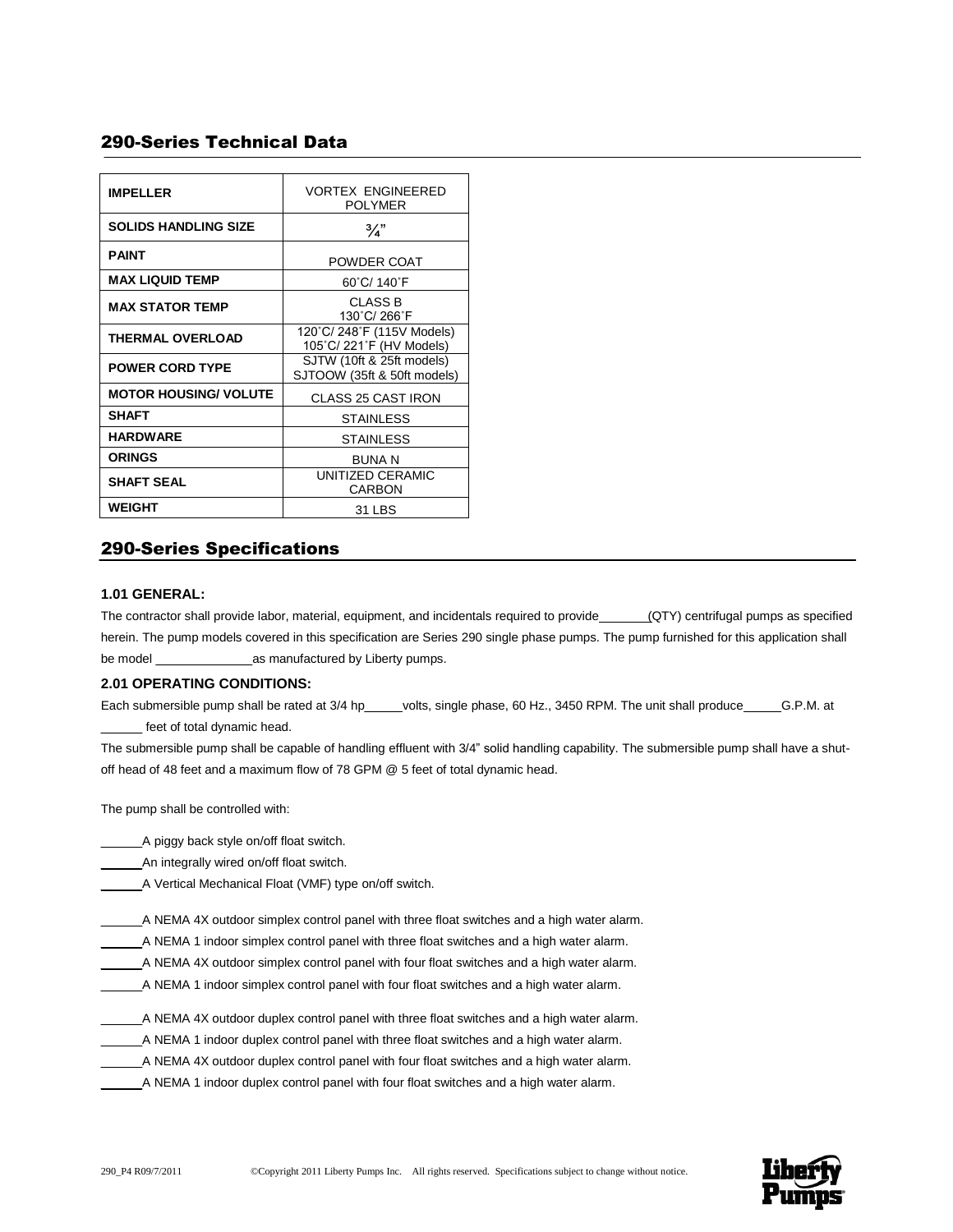# 290-Series Technical Data

| <b>IMPELLER</b>              | <b>VORTEX ENGINEERED</b><br><b>POLYMER</b>               |  |  |
|------------------------------|----------------------------------------------------------|--|--|
| <b>SOLIDS HANDLING SIZE</b>  | 3⁄4"                                                     |  |  |
| <b>PAINT</b>                 | POWDER COAT                                              |  |  |
| <b>MAX LIQUID TEMP</b>       | 60°C/ 140°F                                              |  |  |
| <b>MAX STATOR TEMP</b>       | CLASS B<br>130°C/266°F                                   |  |  |
| <b>THERMAL OVERLOAD</b>      | 120°C/248°F (115V Models)<br>105°C/221°F (HV Models)     |  |  |
| <b>POWER CORD TYPE</b>       | SJTW (10ft & 25ft models)<br>SJTOOW (35ft & 50ft models) |  |  |
| <b>MOTOR HOUSING/ VOLUTE</b> | <b>CLASS 25 CAST IRON</b>                                |  |  |
| <b>SHAFT</b>                 | <b>STAINLESS</b>                                         |  |  |
| <b>HARDWARE</b>              | <b>STAINLESS</b>                                         |  |  |
| <b>ORINGS</b>                | <b>BUNAN</b>                                             |  |  |
| <b>SHAFT SEAL</b>            | UNITIZED CERAMIC<br>CARBON                               |  |  |
| WEIGHT                       | 31 LBS                                                   |  |  |

# 290-Series Specifications

## **1.01 GENERAL:**

The contractor shall provide labor, material, equipment, and incidentals required to provide (QTY) centrifugal pumps as specified herein. The pump models covered in this specification are Series 290 single phase pumps. The pump furnished for this application shall be model \_\_\_\_\_\_\_\_\_\_\_\_\_\_as manufactured by Liberty pumps.

## **2.01 OPERATING CONDITIONS:**

Each submersible pump shall be rated at 3/4 hp\_\_\_\_\_ volts, single phase, 60 Hz., 3450 RPM. The unit shall produce \_\_\_\_\_\_\_G.P.M. at feet of total dynamic head.

The submersible pump shall be capable of handling effluent with 3/4" solid handling capability. The submersible pump shall have a shutoff head of 48 feet and a maximum flow of 78 GPM @ 5 feet of total dynamic head.

The pump shall be controlled with:

\_\_\_\_\_\_A piggy back style on/off float switch.

An integrally wired on/off float switch.

\_\_\_\_\_\_A Vertical Mechanical Float (VMF) type on/off switch.

A NEMA 4X outdoor simplex control panel with three float switches and a high water alarm.

- \_\_\_\_\_\_A NEMA 1 indoor simplex control panel with three float switches and a high water alarm.
- \_\_\_\_\_\_A NEMA 4X outdoor simplex control panel with four float switches and a high water alarm.
- \_\_\_\_\_\_A NEMA 1 indoor simplex control panel with four float switches and a high water alarm.
- \_\_\_\_\_\_A NEMA 4X outdoor duplex control panel with three float switches and a high water alarm.
- \_\_\_\_\_\_A NEMA 1 indoor duplex control panel with three float switches and a high water alarm.
- \_\_\_\_\_\_A NEMA 4X outdoor duplex control panel with four float switches and a high water alarm.
- \_\_\_\_\_\_A NEMA 1 indoor duplex control panel with four float switches and a high water alarm.

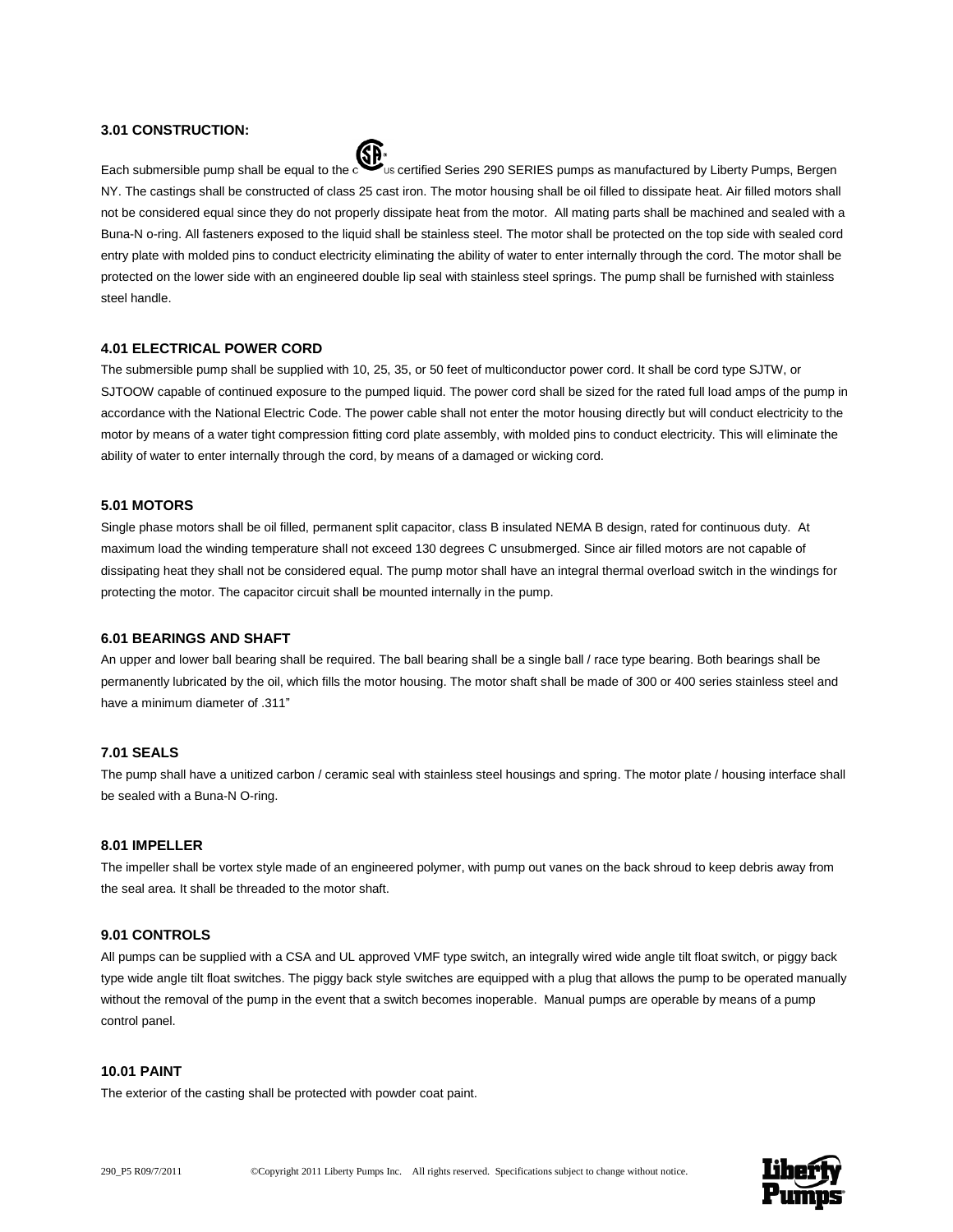## **3.01 CONSTRUCTION:**



Each submersible pump shall be equal to the certified Series 290 SERIES pumps as manufactured by Liberty Pumps, Bergen NY. The castings shall be constructed of class 25 cast iron. The motor housing shall be oil filled to dissipate heat. Air filled motors shall not be considered equal since they do not properly dissipate heat from the motor. All mating parts shall be machined and sealed with a Buna-N o-ring. All fasteners exposed to the liquid shall be stainless steel. The motor shall be protected on the top side with sealed cord entry plate with molded pins to conduct electricity eliminating the ability of water to enter internally through the cord. The motor shall be protected on the lower side with an engineered double lip seal with stainless steel springs. The pump shall be furnished with stainless steel handle.

#### **4.01 ELECTRICAL POWER CORD**

The submersible pump shall be supplied with 10, 25, 35, or 50 feet of multiconductor power cord. It shall be cord type SJTW, or SJTOOW capable of continued exposure to the pumped liquid. The power cord shall be sized for the rated full load amps of the pump in accordance with the National Electric Code. The power cable shall not enter the motor housing directly but will conduct electricity to the motor by means of a water tight compression fitting cord plate assembly, with molded pins to conduct electricity. This will eliminate the ability of water to enter internally through the cord, by means of a damaged or wicking cord.

#### **5.01 MOTORS**

Single phase motors shall be oil filled, permanent split capacitor, class B insulated NEMA B design, rated for continuous duty. At maximum load the winding temperature shall not exceed 130 degrees C unsubmerged. Since air filled motors are not capable of dissipating heat they shall not be considered equal. The pump motor shall have an integral thermal overload switch in the windings for protecting the motor. The capacitor circuit shall be mounted internally in the pump.

#### **6.01 BEARINGS AND SHAFT**

An upper and lower ball bearing shall be required. The ball bearing shall be a single ball / race type bearing. Both bearings shall be permanently lubricated by the oil, which fills the motor housing. The motor shaft shall be made of 300 or 400 series stainless steel and have a minimum diameter of .311"

# **7.01 SEALS**

The pump shall have a unitized carbon / ceramic seal with stainless steel housings and spring. The motor plate / housing interface shall be sealed with a Buna-N O-ring.

#### **8.01 IMPELLER**

The impeller shall be vortex style made of an engineered polymer, with pump out vanes on the back shroud to keep debris away from the seal area. It shall be threaded to the motor shaft.

#### **9.01 CONTROLS**

All pumps can be supplied with a CSA and UL approved VMF type switch, an integrally wired wide angle tilt float switch, or piggy back type wide angle tilt float switches. The piggy back style switches are equipped with a plug that allows the pump to be operated manually without the removal of the pump in the event that a switch becomes inoperable. Manual pumps are operable by means of a pump control panel.

#### **10.01 PAINT**

The exterior of the casting shall be protected with powder coat paint.